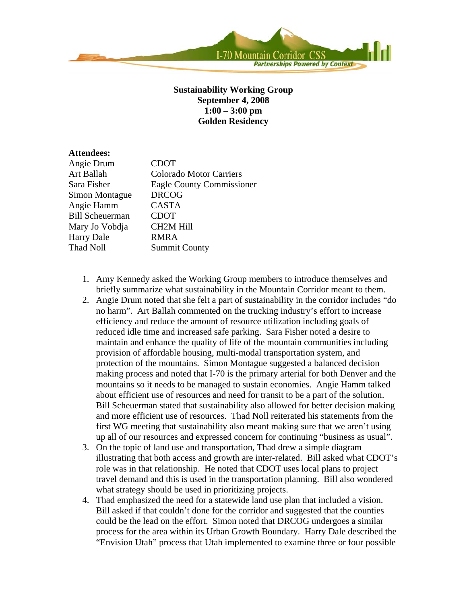

## **Sustainability Working Group September 4, 2008 1:00 – 3:00 pm Golden Residency**

## **Attendees:**

| Angie Drum             | <b>CDOT</b>                    |
|------------------------|--------------------------------|
| Art Ballah             | <b>Colorado Motor Carriers</b> |
| Sara Fisher            | Eagle County Commissioner      |
| Simon Montague         | <b>DRCOG</b>                   |
| Angie Hamm             | <b>CASTA</b>                   |
| <b>Bill Scheuerman</b> | <b>CDOT</b>                    |
| Mary Jo Vobdja         | <b>CH2M Hill</b>               |
| <b>Harry Dale</b>      | <b>RMRA</b>                    |
| Thad Noll              | <b>Summit County</b>           |
|                        |                                |

- 1. Amy Kennedy asked the Working Group members to introduce themselves and briefly summarize what sustainability in the Mountain Corridor meant to them.
- 2. Angie Drum noted that she felt a part of sustainability in the corridor includes "do no harm". Art Ballah commented on the trucking industry's effort to increase efficiency and reduce the amount of resource utilization including goals of reduced idle time and increased safe parking. Sara Fisher noted a desire to maintain and enhance the quality of life of the mountain communities including provision of affordable housing, multi-modal transportation system, and protection of the mountains. Simon Montague suggested a balanced decision making process and noted that I-70 is the primary arterial for both Denver and the mountains so it needs to be managed to sustain economies. Angie Hamm talked about efficient use of resources and need for transit to be a part of the solution. Bill Scheuerman stated that sustainability also allowed for better decision making and more efficient use of resources. Thad Noll reiterated his statements from the first WG meeting that sustainability also meant making sure that we aren't using up all of our resources and expressed concern for continuing "business as usual".
- 3. On the topic of land use and transportation, Thad drew a simple diagram illustrating that both access and growth are inter-related. Bill asked what CDOT's role was in that relationship. He noted that CDOT uses local plans to project travel demand and this is used in the transportation planning. Bill also wondered what strategy should be used in prioritizing projects.
- 4. Thad emphasized the need for a statewide land use plan that included a vision. Bill asked if that couldn't done for the corridor and suggested that the counties could be the lead on the effort. Simon noted that DRCOG undergoes a similar process for the area within its Urban Growth Boundary. Harry Dale described the "Envision Utah" process that Utah implemented to examine three or four possible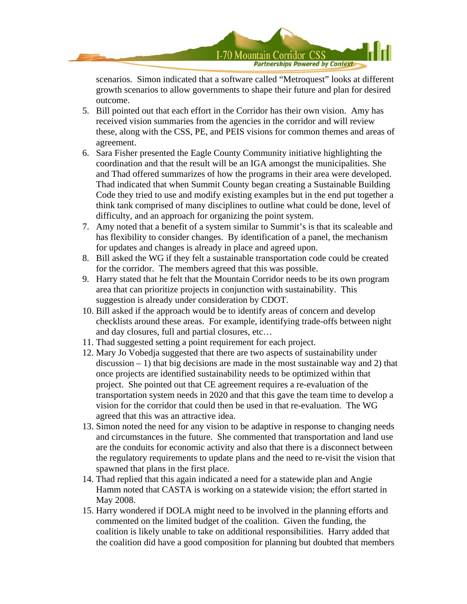

scenarios. Simon indicated that a software called "Metroquest" looks at different growth scenarios to allow governments to shape their future and plan for desired outcome.

- 5. Bill pointed out that each effort in the Corridor has their own vision. Amy has received vision summaries from the agencies in the corridor and will review these, along with the CSS, PE, and PEIS visions for common themes and areas of agreement.
- 6. Sara Fisher presented the Eagle County Community initiative highlighting the coordination and that the result will be an IGA amongst the municipalities. She and Thad offered summarizes of how the programs in their area were developed. Thad indicated that when Summit County began creating a Sustainable Building Code they tried to use and modify existing examples but in the end put together a think tank comprised of many disciplines to outline what could be done, level of difficulty, and an approach for organizing the point system.
- 7. Amy noted that a benefit of a system similar to Summit's is that its scaleable and has flexibility to consider changes. By identification of a panel, the mechanism for updates and changes is already in place and agreed upon.
- 8. Bill asked the WG if they felt a sustainable transportation code could be created for the corridor. The members agreed that this was possible.
- 9. Harry stated that he felt that the Mountain Corridor needs to be its own program area that can prioritize projects in conjunction with sustainability. This suggestion is already under consideration by CDOT.
- 10. Bill asked if the approach would be to identify areas of concern and develop checklists around these areas. For example, identifying trade-offs between night and day closures, full and partial closures, etc…
- 11. Thad suggested setting a point requirement for each project.
- 12. Mary Jo Vobedja suggested that there are two aspects of sustainability under  $dissussion - 1$ ) that big decisions are made in the most sustainable way and 2) that once projects are identified sustainability needs to be optimized within that project. She pointed out that CE agreement requires a re-evaluation of the transportation system needs in 2020 and that this gave the team time to develop a vision for the corridor that could then be used in that re-evaluation. The WG agreed that this was an attractive idea.
- 13. Simon noted the need for any vision to be adaptive in response to changing needs and circumstances in the future. She commented that transportation and land use are the conduits for economic activity and also that there is a disconnect between the regulatory requirements to update plans and the need to re-visit the vision that spawned that plans in the first place.
- 14. Thad replied that this again indicated a need for a statewide plan and Angie Hamm noted that CASTA is working on a statewide vision; the effort started in May 2008.
- 15. Harry wondered if DOLA might need to be involved in the planning efforts and commented on the limited budget of the coalition. Given the funding, the coalition is likely unable to take on additional responsibilities. Harry added that the coalition did have a good composition for planning but doubted that members